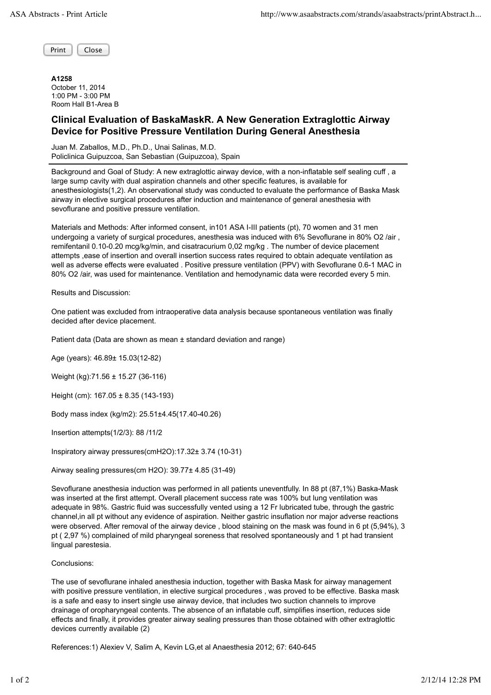Print | Close

| A1258               |  |
|---------------------|--|
| October 11, 2014    |  |
| 1:00 PM - 3:00 PM   |  |
| Room Hall B1-Area B |  |

## **Clinical Evaluation of BaskaMaskR. A New Generation Extraglottic Airway Device for Positive Pressure Ventilation During General Anesthesia**

Juan M. Zaballos, M.D., Ph.D., Unai Salinas, M.D. Policlinica Guipuzcoa, San Sebastian (Guipuzcoa), Spain

Background and Goal of Study: A new extraglottic airway device, with a non-inflatable self sealing cuff , a large sump cavity with dual aspiration channels and other specific features, is available for anesthesiologists(1,2). An observational study was conducted to evaluate the performance of Baska Mask airway in elective surgical procedures after induction and maintenance of general anesthesia with sevoflurane and positive pressure ventilation.

Materials and Methods: After informed consent, in101 ASA I-III patients (pt), 70 women and 31 men undergoing a variety of surgical procedures, anesthesia was induced with 6% Sevoflurane in 80% O2 /air, remifentanil 0.10-0.20 mcg/kg/min, and cisatracurium 0,02 mg/kg . The number of device placement attempts ,ease of insertion and overall insertion success rates required to obtain adequate ventilation as well as adverse effects were evaluated . Positive pressure ventilation (PPV) with Sevoflurane 0.6-1 MAC in 80% O2 /air, was used for maintenance. Ventilation and hemodynamic data were recorded every 5 min.

Results and Discussion:

One patient was excluded from intraoperative data analysis because spontaneous ventilation was finally decided after device placement.

Patient data (Data are shown as mean ± standard deviation and range)

Age (years): 46.89± 15.03(12-82)

Weight (kg):71.56 ± 15.27 (36-116)

Height (cm): 167.05 ± 8.35 (143-193)

Body mass index (kg/m2): 25.51±4.45(17.40-40.26)

Insertion attempts(1/2/3): 88 /11/2

Inspiratory airway pressures(cmH2O):17.32± 3.74 (10-31)

Airway sealing pressures(cm H2O): 39.77± 4.85 (31-49)

Sevoflurane anesthesia induction was performed in all patients uneventfully. In 88 pt (87,1%) Baska-Mask was inserted at the first attempt. Overall placement success rate was 100% but lung ventilation was adequate in 98%. Gastric fluid was successfully vented using a 12 Fr lubricated tube, through the gastric channel,in all pt without any evidence of aspiration. Neither gastric insuflation nor major adverse reactions were observed. After removal of the airway device , blood staining on the mask was found in 6 pt (5,94%), 3 pt ( 2,97 %) complained of mild pharyngeal soreness that resolved spontaneously and 1 pt had transient lingual parestesia.

Conclusions:

The use of sevoflurane inhaled anesthesia induction, together with Baska Mask for airway management with positive pressure ventilation, in elective surgical procedures , was proved to be effective. Baska mask is a safe and easy to insert single use airway device, that includes two suction channels to improve drainage of oropharyngeal contents. The absence of an inflatable cuff, simplifies insertion, reduces side effects and finally, it provides greater airway sealing pressures than those obtained with other extraglottic devices currently available (2)

References:1) Alexiev V, Salim A, Kevin LG,et al Anaesthesia 2012; 67: 640-645